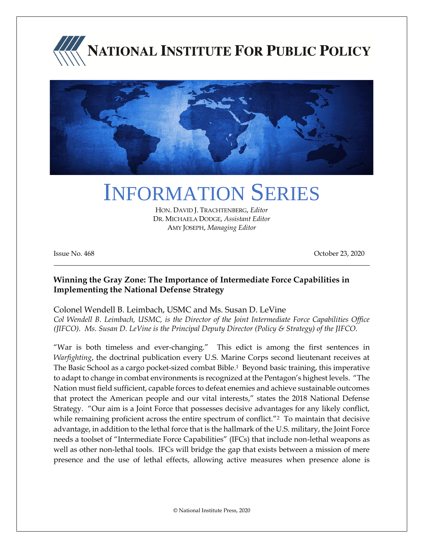



# INFORMATION SERIES

HON. DAVID J. TRACHTENBERG, *Editor* DR. MICHAELA DODGE, *Assistant Editor* AMY JOSEPH, *Managing Editor*

Issue No. 468 October 23, 2020

#### **Winning the Gray Zone: The Importance of Intermediate Force Capabilities in Implementing the National Defense Strategy**

Colonel Wendell B. Leimbach, USMC and Ms. Susan D. LeVine *Col Wendell B. Leimbach, USMC, is the Director of the Joint Intermediate Force Capabilities Office (JIFCO). Ms. Susan D. LeVine is the Principal Deputy Director (Policy & Strategy) of the JIFCO.*

"War is both timeless and ever-changing." This edict is among the first sentences in *Warfighting*, the doctrinal publication every U.S. Marine Corps second lieutenant receives at The Basic School as a cargo pocket-sized combat Bible.<sup>1</sup> Beyond basic training, this imperative to adapt to change in combat environments is recognized at the Pentagon's highest levels. "The Nation must field sufficient, capable forces to defeat enemies and achieve sustainable outcomes that protect the American people and our vital interests," states the 2018 National Defense Strategy. "Our aim is a Joint Force that possesses decisive advantages for any likely conflict, while remaining proficient across the entire spectrum of conflict."<sup>2</sup> To maintain that decisive advantage, in addition to the lethal force that is the hallmark of the U.S. military, the Joint Force needs a toolset of "Intermediate Force Capabilities" (IFCs) that include non-lethal weapons as well as other non-lethal tools. IFCs will bridge the gap that exists between a mission of mere presence and the use of lethal effects, allowing active measures when presence alone is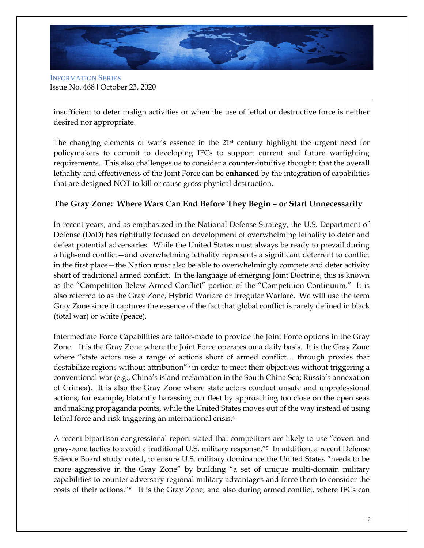

INFORMATION SERIES Issue No. 468 ǀ October 23, 2020

insufficient to deter malign activities or when the use of lethal or destructive force is neither desired nor appropriate.

The changing elements of war's essence in the  $21<sup>st</sup>$  century highlight the urgent need for policymakers to commit to developing IFCs to support current and future warfighting requirements. This also challenges us to consider a counter-intuitive thought: that the overall lethality and effectiveness of the Joint Force can be **enhanced** by the integration of capabilities that are designed NOT to kill or cause gross physical destruction.

## **The Gray Zone: Where Wars Can End Before They Begin – or Start Unnecessarily**

In recent years, and as emphasized in the National Defense Strategy, the U.S. Department of Defense (DoD) has rightfully focused on development of overwhelming lethality to deter and defeat potential adversaries. While the United States must always be ready to prevail during a high-end conflict—and overwhelming lethality represents a significant deterrent to conflict in the first place—the Nation must also be able to overwhelmingly compete and deter activity short of traditional armed conflict. In the language of emerging Joint Doctrine, this is known as the "Competition Below Armed Conflict" portion of the "Competition Continuum." It is also referred to as the Gray Zone, Hybrid Warfare or Irregular Warfare. We will use the term Gray Zone since it captures the essence of the fact that global conflict is rarely defined in black (total war) or white (peace).

Intermediate Force Capabilities are tailor-made to provide the Joint Force options in the Gray Zone. It is the Gray Zone where the Joint Force operates on a daily basis. It is the Gray Zone where "state actors use a range of actions short of armed conflict… through proxies that destabilize regions without attribution"<sup>3</sup> in order to meet their objectives without triggering a conventional war (e.g., China's island reclamation in the South China Sea; Russia's annexation of Crimea). It is also the Gray Zone where state actors conduct unsafe and unprofessional actions, for example, blatantly harassing our fleet by approaching too close on the open seas and making propaganda points, while the United States moves out of the way instead of using lethal force and risk triggering an international crisis.<sup>4</sup>

A recent bipartisan congressional report stated that competitors are likely to use "covert and gray-zone tactics to avoid a traditional U.S. military response."5 In addition, a recent Defense Science Board study noted, to ensure U.S. military dominance the United States "needs to be more aggressive in the Gray Zone" by building "a set of unique multi-domain military capabilities to counter adversary regional military advantages and force them to consider the costs of their actions."6 It is the Gray Zone, and also during armed conflict, where IFCs can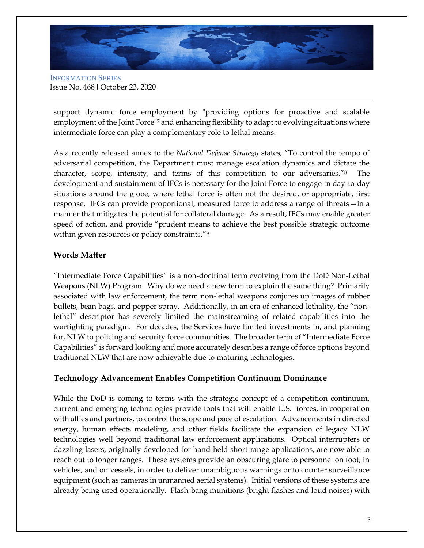

INFORMATION SERIES Issue No. 468 ǀ October 23, 2020

support dynamic force employment by "providing options for proactive and scalable employment of the Joint Force<sup>"7</sup> and enhancing flexibility to adapt to evolving situations where intermediate force can play a complementary role to lethal means.

As a recently released annex to the *National Defense Strategy* states, "To control the tempo of adversarial competition, the Department must manage escalation dynamics and dictate the character, scope, intensity, and terms of this competition to our adversaries."8 The development and sustainment of IFCs is necessary for the Joint Force to engage in day-to-day situations around the globe, where lethal force is often not the desired, or appropriate, first response. IFCs can provide proportional, measured force to address a range of threats—in a manner that mitigates the potential for collateral damage. As a result, IFCs may enable greater speed of action, and provide "prudent means to achieve the best possible strategic outcome within given resources or policy constraints."<sup>9</sup>

#### **Words Matter**

"Intermediate Force Capabilities" is a non-doctrinal term evolving from the DoD Non-Lethal Weapons (NLW) Program. Why do we need a new term to explain the same thing? Primarily associated with law enforcement, the term non-lethal weapons conjures up images of rubber bullets, bean bags, and pepper spray. Additionally, in an era of enhanced lethality, the "nonlethal" descriptor has severely limited the mainstreaming of related capabilities into the warfighting paradigm. For decades, the Services have limited investments in, and planning for, NLW to policing and security force communities. The broader term of "Intermediate Force Capabilities" is forward looking and more accurately describes a range of force options beyond traditional NLW that are now achievable due to maturing technologies.

#### **Technology Advancement Enables Competition Continuum Dominance**

While the DoD is coming to terms with the strategic concept of a competition continuum, current and emerging technologies provide tools that will enable U.S. forces, in cooperation with allies and partners, to control the scope and pace of escalation. Advancements in directed energy, human effects modeling, and other fields facilitate the expansion of legacy NLW technologies well beyond traditional law enforcement applications. Optical interrupters or dazzling lasers, originally developed for hand-held short-range applications, are now able to reach out to longer ranges. These systems provide an obscuring glare to personnel on foot, in vehicles, and on vessels, in order to deliver unambiguous warnings or to counter surveillance equipment (such as cameras in unmanned aerial systems). Initial versions of these systems are already being used operationally. Flash-bang munitions (bright flashes and loud noises) with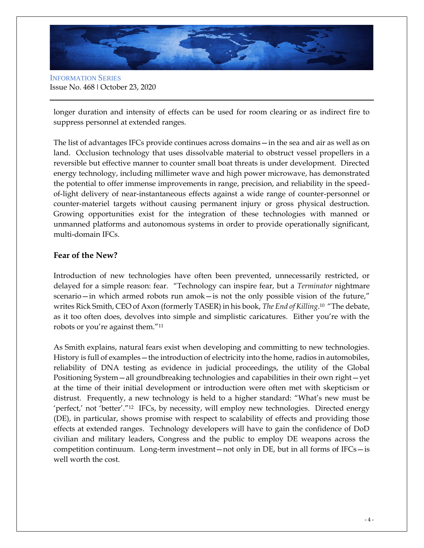

INFORMATION SERIES Issue No. 468 ǀ October 23, 2020

longer duration and intensity of effects can be used for room clearing or as indirect fire to suppress personnel at extended ranges.

The list of advantages IFCs provide continues across domains—in the sea and air as well as on land. Occlusion technology that uses dissolvable material to obstruct vessel propellers in a reversible but effective manner to counter small boat threats is under development. Directed energy technology, including millimeter wave and high power microwave, has demonstrated the potential to offer immense improvements in range, precision, and reliability in the speedof-light delivery of near-instantaneous effects against a wide range of counter-personnel or counter-materiel targets without causing permanent injury or gross physical destruction. Growing opportunities exist for the integration of these technologies with manned or unmanned platforms and autonomous systems in order to provide operationally significant, multi-domain IFCs.

#### **Fear of the New?**

Introduction of new technologies have often been prevented, unnecessarily restricted, or delayed for a simple reason: fear. "Technology can inspire fear, but a *Terminator* nightmare scenario—in which armed robots run amok—is not the only possible vision of the future," writes Rick Smith, CEO of Axon (formerly TASER) in his book, *The End of Killing*. <sup>10</sup> "The debate, as it too often does, devolves into simple and simplistic caricatures. Either you're with the robots or you're against them."<sup>11</sup>

As Smith explains, natural fears exist when developing and committing to new technologies. History is full of examples—the introduction of electricity into the home, radios in automobiles, reliability of DNA testing as evidence in judicial proceedings, the utility of the Global Positioning System—all groundbreaking technologies and capabilities in their own right—yet at the time of their initial development or introduction were often met with skepticism or distrust. Frequently, a new technology is held to a higher standard: "What's new must be 'perfect,' not 'better'."12 IFCs, by necessity, will employ new technologies. Directed energy (DE), in particular, shows promise with respect to scalability of effects and providing those effects at extended ranges. Technology developers will have to gain the confidence of DoD civilian and military leaders, Congress and the public to employ DE weapons across the competition continuum. Long-term investment—not only in DE, but in all forms of  $IFCs$ —is well worth the cost.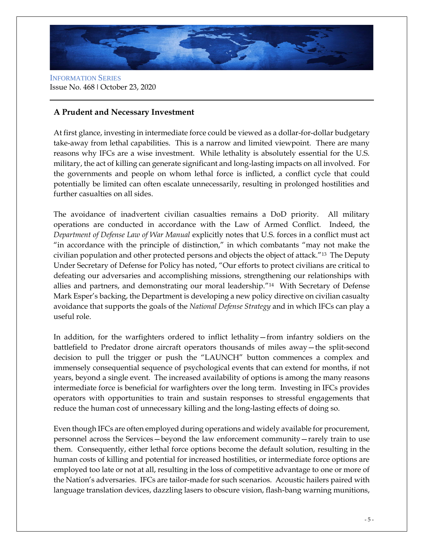

INFORMATION SERIES Issue No. 468 ǀ October 23, 2020

### **A Prudent and Necessary Investment**

At first glance, investing in intermediate force could be viewed as a dollar-for-dollar budgetary take-away from lethal capabilities. This is a narrow and limited viewpoint. There are many reasons why IFCs are a wise investment. While lethality is absolutely essential for the U.S. military, the act of killing can generate significant and long-lasting impacts on all involved. For the governments and people on whom lethal force is inflicted, a conflict cycle that could potentially be limited can often escalate unnecessarily, resulting in prolonged hostilities and further casualties on all sides.

The avoidance of inadvertent civilian casualties remains a DoD priority. All military operations are conducted in accordance with the Law of Armed Conflict. Indeed, the *Department of Defense Law of War Manual* explicitly notes that U.S. forces in a conflict must act "in accordance with the principle of distinction," in which combatants "may not make the civilian population and other protected persons and objects the object of attack."13 The Deputy Under Secretary of Defense for Policy has noted, "Our efforts to protect civilians are critical to defeating our adversaries and accomplishing missions, strengthening our relationships with allies and partners, and demonstrating our moral leadership."14 With Secretary of Defense Mark Esper's backing, the Department is developing a new policy directive on civilian casualty avoidance that supports the goals of the *National Defense Strategy* and in which IFCs can play a useful role.

In addition, for the warfighters ordered to inflict lethality—from infantry soldiers on the battlefield to Predator drone aircraft operators thousands of miles away—the split-second decision to pull the trigger or push the "LAUNCH" button commences a complex and immensely consequential sequence of psychological events that can extend for months, if not years, beyond a single event. The increased availability of options is among the many reasons intermediate force is beneficial for warfighters over the long term. Investing in IFCs provides operators with opportunities to train and sustain responses to stressful engagements that reduce the human cost of unnecessary killing and the long-lasting effects of doing so.

Even though IFCs are often employed during operations and widely available for procurement, personnel across the Services—beyond the law enforcement community—rarely train to use them. Consequently, either lethal force options become the default solution, resulting in the human costs of killing and potential for increased hostilities, or intermediate force options are employed too late or not at all, resulting in the loss of competitive advantage to one or more of the Nation's adversaries. IFCs are tailor-made for such scenarios. Acoustic hailers paired with language translation devices, dazzling lasers to obscure vision, flash-bang warning munitions,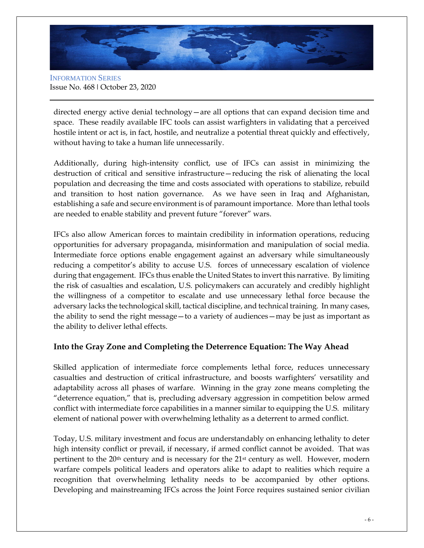

INFORMATION SERIES Issue No. 468 ǀ October 23, 2020

directed energy active denial technology—are all options that can expand decision time and space. These readily available IFC tools can assist warfighters in validating that a perceived hostile intent or act is, in fact, hostile, and neutralize a potential threat quickly and effectively, without having to take a human life unnecessarily.

Additionally, during high-intensity conflict, use of IFCs can assist in minimizing the destruction of critical and sensitive infrastructure—reducing the risk of alienating the local population and decreasing the time and costs associated with operations to stabilize, rebuild and transition to host nation governance. As we have seen in Iraq and Afghanistan, establishing a safe and secure environment is of paramount importance. More than lethal tools are needed to enable stability and prevent future "forever" wars.

IFCs also allow American forces to maintain credibility in information operations, reducing opportunities for adversary propaganda, misinformation and manipulation of social media. Intermediate force options enable engagement against an adversary while simultaneously reducing a competitor's ability to accuse U.S. forces of unnecessary escalation of violence during that engagement. IFCs thus enable the United States to invert this narrative. By limiting the risk of casualties and escalation, U.S. policymakers can accurately and credibly highlight the willingness of a competitor to escalate and use unnecessary lethal force because the adversary lacks the technological skill, tactical discipline, and technical training. In many cases, the ability to send the right message—to a variety of audiences—may be just as important as the ability to deliver lethal effects.

#### **Into the Gray Zone and Completing the Deterrence Equation: The Way Ahead**

Skilled application of intermediate force complements lethal force, reduces unnecessary casualties and destruction of critical infrastructure, and boosts warfighters' versatility and adaptability across all phases of warfare. Winning in the gray zone means completing the "deterrence equation," that is, precluding adversary aggression in competition below armed conflict with intermediate force capabilities in a manner similar to equipping the U.S. military element of national power with overwhelming lethality as a deterrent to armed conflict.

Today, U.S. military investment and focus are understandably on enhancing lethality to deter high intensity conflict or prevail, if necessary, if armed conflict cannot be avoided. That was pertinent to the  $20<sup>th</sup>$  century and is necessary for the  $21<sup>st</sup>$  century as well. However, modern warfare compels political leaders and operators alike to adapt to realities which require a recognition that overwhelming lethality needs to be accompanied by other options. Developing and mainstreaming IFCs across the Joint Force requires sustained senior civilian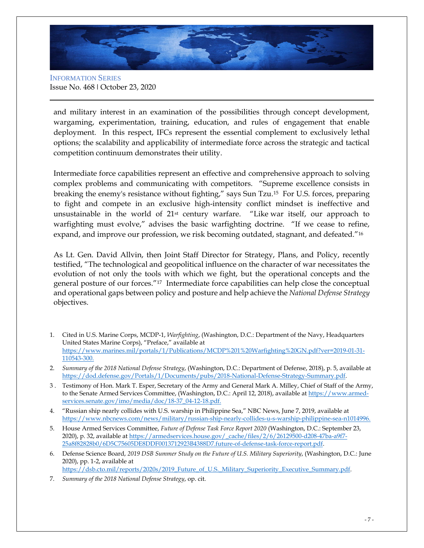

INFORMATION SERIES Issue No. 468 ǀ October 23, 2020

and military interest in an examination of the possibilities through concept development, wargaming, experimentation, training, education, and rules of engagement that enable deployment. In this respect, IFCs represent the essential complement to exclusively lethal options; the scalability and applicability of intermediate force across the strategic and tactical competition continuum demonstrates their utility.

Intermediate force capabilities represent an effective and comprehensive approach to solving complex problems and communicating with competitors. "Supreme excellence consists in breaking the enemy's resistance without fighting," says Sun Tzu.15 For U.S. forces, preparing to fight and compete in an exclusive high-intensity conflict mindset is ineffective and unsustainable in the world of 21st century warfare. "Like war itself, our approach to warfighting must evolve," advises the basic warfighting doctrine. "If we cease to refine, expand, and improve our profession, we risk becoming outdated, stagnant, and defeated."<sup>16</sup>

As Lt. Gen. David Allvin, then Joint Staff Director for Strategy, Plans, and Policy, recently testified, "The technological and geopolitical influence on the character of war necessitates the evolution of not only the tools with which we fight, but the operational concepts and the general posture of our forces."17 Intermediate force capabilities can help close the conceptual and operational gaps between policy and posture and help achieve the *National Defense Strategy* objectives.

- 1. Cited in U.S. Marine Corps, MCDP-1, *Warfighting*, (Washington, D.C.: Department of the Navy, Headquarters United States Marine Corps), "Preface," available at https://www.marines.mil/portals/1/Publications/MCDP%201%20Warfighting%20GN.pdf?ver=2019-01-31- 110543-300.
- 2. *Summary of the 2018 National Defense Strategy*, (Washington, D.C.: Department of Defense, 2018), p. 5, available at [https://dod.defense.gov/Portals/1/Documents/pubs/2018-National-Defense-Strategy-Summary.pdf.](https://dod.defense.gov/Portals/1/Documents/pubs/2018-National-Defense-Strategy-Summary.pdf)
- 3 . Testimony of Hon. Mark T. Esper, Secretary of the Army and General Mark A. Milley, Chief of Staff of the Army, to the Senate Armed Services Committee, (Washington, D.C.: April 12, 2018), available a[t https://www.armed](https://www.armed-services.senate.gov/imo/media/doc/18-37_04-12-18.pdf)[services.senate.gov/imo/media/doc/18-37\\_04-12-18.pdf.](https://www.armed-services.senate.gov/imo/media/doc/18-37_04-12-18.pdf)
- 4. "Russian ship nearly collides with U.S. warship in Philippine Sea," NBC News, June 7, 2019, available at [https://www.nbcnews.com/news/military/russian-ship-nearly-collides-u-s-warship-philippine-sea-n1014996.](https://www.nbcnews.com/news/military/russian-ship-nearly-collides-u-s-warship-philippine-sea-n1014996)
- 5. House Armed Services Committee, *Future of Defense Task Force Report 2020* (Washington, D.C.: September 23, 2020), p. 32, available a[t https://armedservices.house.gov/\\_cache/files/2/6/26129500-d208-47ba-a9f7-](https://armedservices.house.gov/_cache/files/2/6/26129500-d208-47ba-a9f7-25a8f82828b0/6D5C75605DE8DDF0013712923B4388D7.future-of-defense-task-force-report.pdf) [25a8f82828b0/6D5C75605DE8DDF0013712923B4388D7.future-of-defense-task-force-report.pdf.](https://armedservices.house.gov/_cache/files/2/6/26129500-d208-47ba-a9f7-25a8f82828b0/6D5C75605DE8DDF0013712923B4388D7.future-of-defense-task-force-report.pdf)
- 6. Defense Science Board, *2019 DSB Summer Study on the Future of U.S. Military Superiority*, (Washington, D.C.: June 2020), pp. 1-2, available at [https://dsb.cto.mil/reports/2020s/2019\\_Future\\_of\\_U.S.\\_Military\\_Superiority\\_Executive\\_Summary.pdf.](https://dsb.cto.mil/reports/2020s/2019_Future_of_U.S._Military_Superiority_Executive_Summary.pdf)
- 7. *Summary of the 2018 National Defense Strategy*, op. cit.